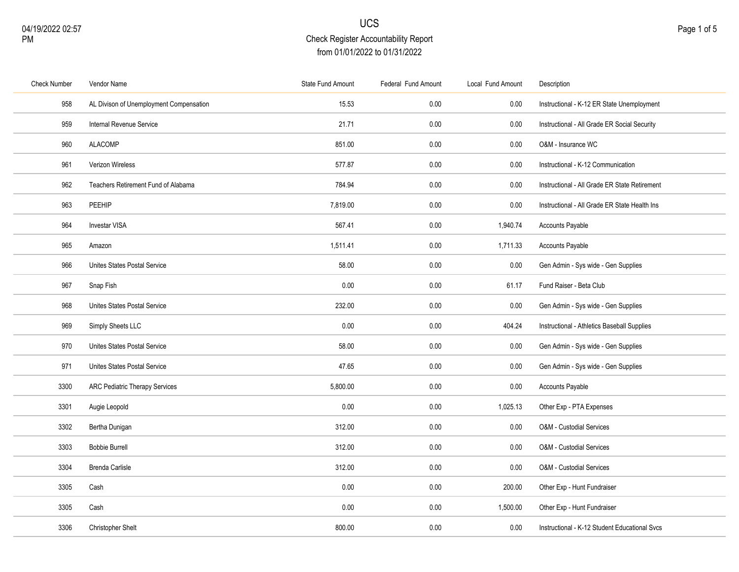| <b>Check Number</b> | Vendor Name                             | State Fund Amount | Federal Fund Amount | Local Fund Amount | Description                                   |
|---------------------|-----------------------------------------|-------------------|---------------------|-------------------|-----------------------------------------------|
| 958                 | AL Divison of Unemployment Compensation | 15.53             | 0.00                | 0.00              | Instructional - K-12 ER State Unemployment    |
| 959                 | Internal Revenue Service                | 21.71             | 0.00                | 0.00              | Instructional - All Grade ER Social Security  |
| 960                 | ALACOMP                                 | 851.00            | 0.00                | 0.00              | O&M - Insurance WC                            |
| 961                 | Verizon Wireless                        | 577.87            | 0.00                | 0.00              | Instructional - K-12 Communication            |
| 962                 | Teachers Retirement Fund of Alabama     | 784.94            | 0.00                | 0.00              | Instructional - All Grade ER State Retirement |
| 963                 | PEEHIP                                  | 7,819.00          | 0.00                | 0.00              | Instructional - All Grade ER State Health Ins |
| 964                 | <b>Investar VISA</b>                    | 567.41            | 0.00                | 1,940.74          | <b>Accounts Payable</b>                       |
| 965                 | Amazon                                  | 1,511.41          | 0.00                | 1,711.33          | Accounts Payable                              |
| 966                 | Unites States Postal Service            | 58.00             | 0.00                | 0.00              | Gen Admin - Sys wide - Gen Supplies           |
| 967                 | Snap Fish                               | 0.00              | 0.00                | 61.17             | Fund Raiser - Beta Club                       |
| 968                 | Unites States Postal Service            | 232.00            | 0.00                | 0.00              | Gen Admin - Sys wide - Gen Supplies           |
| 969                 | Simply Sheets LLC                       | 0.00              | 0.00                | 404.24            | Instructional - Athletics Baseball Supplies   |
| 970                 | Unites States Postal Service            | 58.00             | 0.00                | 0.00              | Gen Admin - Sys wide - Gen Supplies           |
| 971                 | Unites States Postal Service            | 47.65             | 0.00                | 0.00              | Gen Admin - Sys wide - Gen Supplies           |
| 3300                | <b>ARC Pediatric Therapy Services</b>   | 5,800.00          | 0.00                | 0.00              | Accounts Payable                              |
| 3301                | Augie Leopold                           | $0.00\,$          | 0.00                | 1,025.13          | Other Exp - PTA Expenses                      |
| 3302                | Bertha Dunigan                          | 312.00            | 0.00                | 0.00              | O&M - Custodial Services                      |
| 3303                | <b>Bobbie Burrell</b>                   | 312.00            | 0.00                | 0.00              | O&M - Custodial Services                      |
| 3304                | <b>Brenda Carlisle</b>                  | 312.00            | 0.00                | 0.00              | O&M - Custodial Services                      |
| 3305                | Cash                                    | 0.00              | 0.00                | 200.00            | Other Exp - Hunt Fundraiser                   |
| 3305                | Cash                                    | 0.00              | 0.00                | 1,500.00          | Other Exp - Hunt Fundraiser                   |
| 3306                | Christopher Shelt                       | 800.00            | 0.00                | 0.00              | Instructional - K-12 Student Educational Svcs |
|                     |                                         |                   |                     |                   |                                               |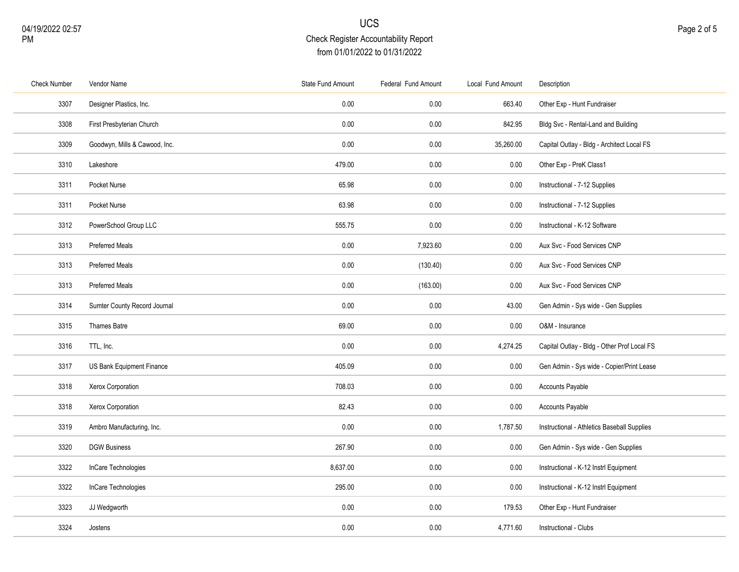| <b>Check Number</b> | Vendor Name                   | State Fund Amount | Federal Fund Amount | Local Fund Amount | Description                                 |
|---------------------|-------------------------------|-------------------|---------------------|-------------------|---------------------------------------------|
| 3307                | Designer Plastics, Inc.       | 0.00              | 0.00                | 663.40            | Other Exp - Hunt Fundraiser                 |
| 3308                | First Presbyterian Church     | 0.00              | 0.00                | 842.95            | Bldg Svc - Rental-Land and Building         |
| 3309                | Goodwyn, Mills & Cawood, Inc. | 0.00              | 0.00                | 35,260.00         | Capital Outlay - Bldg - Architect Local FS  |
| 3310                | Lakeshore                     | 479.00            | 0.00                | 0.00              | Other Exp - PreK Class1                     |
| 3311                | Pocket Nurse                  | 65.98             | 0.00                | $0.00\,$          | Instructional - 7-12 Supplies               |
| 3311                | Pocket Nurse                  | 63.98             | 0.00                | 0.00              | Instructional - 7-12 Supplies               |
| 3312                | PowerSchool Group LLC         | 555.75            | 0.00                | 0.00              | Instructional - K-12 Software               |
| 3313                | <b>Preferred Meals</b>        | 0.00              | 7,923.60            | $0.00\,$          | Aux Svc - Food Services CNP                 |
| 3313                | <b>Preferred Meals</b>        | 0.00              | (130.40)            | 0.00              | Aux Svc - Food Services CNP                 |
| 3313                | <b>Preferred Meals</b>        | 0.00              | (163.00)            | $0.00\,$          | Aux Svc - Food Services CNP                 |
| 3314                | Sumter County Record Journal  | 0.00              | 0.00                | 43.00             | Gen Admin - Sys wide - Gen Supplies         |
| 3315                | Thames Batre                  | 69.00             | 0.00                | 0.00              | O&M - Insurance                             |
| 3316                | TTL, Inc.                     | 0.00              | 0.00                | 4,274.25          | Capital Outlay - Bldg - Other Prof Local FS |
| 3317                | US Bank Equipment Finance     | 405.09            | 0.00                | 0.00              | Gen Admin - Sys wide - Copier/Print Lease   |
| 3318                | Xerox Corporation             | 708.03            | 0.00                | $0.00\,$          | Accounts Payable                            |
| 3318                | Xerox Corporation             | 82.43             | 0.00                | 0.00              | Accounts Payable                            |
| 3319                | Ambro Manufacturing, Inc.     | 0.00              | 0.00                | 1,787.50          | Instructional - Athletics Baseball Supplies |
| 3320                | <b>DGW Business</b>           | 267.90            | 0.00                | $0.00\,$          | Gen Admin - Sys wide - Gen Supplies         |
| 3322                | InCare Technologies           | 8,637.00          | 0.00                | $0.00\,$          | Instructional - K-12 Instrl Equipment       |
| 3322                | InCare Technologies           | 295.00            | $0.00\,$            | $0.00\,$          | Instructional - K-12 Instrl Equipment       |
| 3323                | JJ Wedgworth                  | 0.00              | 0.00                | 179.53            | Other Exp - Hunt Fundraiser                 |
| 3324                | Jostens                       | 0.00              | 0.00                | 4,771.60          | Instructional - Clubs                       |
|                     |                               |                   |                     |                   |                                             |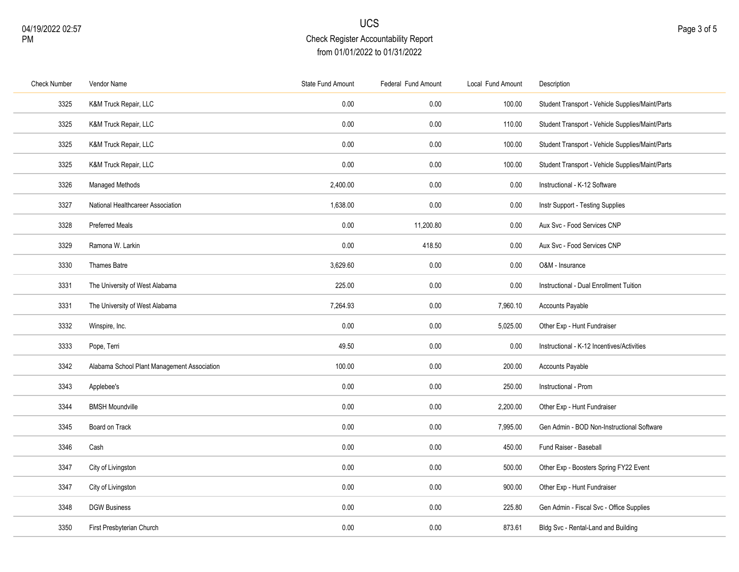| <b>Check Number</b> | Vendor Name                                 | State Fund Amount | Federal Fund Amount | Local Fund Amount | Description                                      |
|---------------------|---------------------------------------------|-------------------|---------------------|-------------------|--------------------------------------------------|
| 3325                | K&M Truck Repair, LLC                       | 0.00              | 0.00                | 100.00            | Student Transport - Vehicle Supplies/Maint/Parts |
| 3325                | K&M Truck Repair, LLC                       | 0.00              | 0.00                | 110.00            | Student Transport - Vehicle Supplies/Maint/Parts |
| 3325                | K&M Truck Repair, LLC                       | 0.00              | 0.00                | 100.00            | Student Transport - Vehicle Supplies/Maint/Parts |
| 3325                | K&M Truck Repair, LLC                       | 0.00              | 0.00                | 100.00            | Student Transport - Vehicle Supplies/Maint/Parts |
| 3326                | Managed Methods                             | 2,400.00          | 0.00                | 0.00              | Instructional - K-12 Software                    |
| 3327                | National Healthcareer Association           | 1,638.00          | 0.00                | 0.00              | Instr Support - Testing Supplies                 |
| 3328                | <b>Preferred Meals</b>                      | 0.00              | 11,200.80           | 0.00              | Aux Svc - Food Services CNP                      |
| 3329                | Ramona W. Larkin                            | 0.00              | 418.50              | 0.00              | Aux Svc - Food Services CNP                      |
| 3330                | Thames Batre                                | 3,629.60          | 0.00                | 0.00              | O&M - Insurance                                  |
| 3331                | The University of West Alabama              | 225.00            | 0.00                | 0.00              | Instructional - Dual Enrollment Tuition          |
| 3331                | The University of West Alabama              | 7,264.93          | 0.00                | 7,960.10          | <b>Accounts Payable</b>                          |
| 3332                | Winspire, Inc.                              | 0.00              | 0.00                | 5,025.00          | Other Exp - Hunt Fundraiser                      |
| 3333                | Pope, Terri                                 | 49.50             | 0.00                | 0.00              | Instructional - K-12 Incentives/Activities       |
| 3342                | Alabama School Plant Management Association | 100.00            | 0.00                | 200.00            | Accounts Payable                                 |
| 3343                | Applebee's                                  | 0.00              | 0.00                | 250.00            | Instructional - Prom                             |
| 3344                | <b>BMSH Moundville</b>                      | 0.00              | $0.00\,$            | 2,200.00          | Other Exp - Hunt Fundraiser                      |
| 3345                | Board on Track                              | 0.00              | 0.00                | 7,995.00          | Gen Admin - BOD Non-Instructional Software       |
| 3346                | Cash                                        | 0.00              | 0.00                | 450.00            | Fund Raiser - Baseball                           |
| 3347                | City of Livingston                          | 0.00              | 0.00                | 500.00            | Other Exp - Boosters Spring FY22 Event           |
| 3347                | City of Livingston                          | 0.00              | 0.00                | 900.00            | Other Exp - Hunt Fundraiser                      |
| 3348                | <b>DGW Business</b>                         | 0.00              | 0.00                | 225.80            | Gen Admin - Fiscal Svc - Office Supplies         |
| 3350                | First Presbyterian Church                   | 0.00              | 0.00                | 873.61            | Bldg Svc - Rental-Land and Building              |
|                     |                                             |                   |                     |                   |                                                  |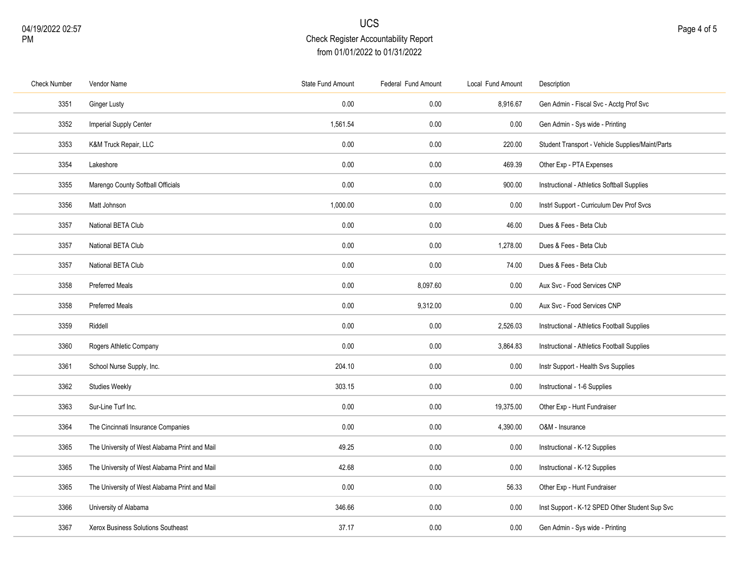| <b>Check Number</b> | Vendor Name                                   | State Fund Amount | Federal Fund Amount | Local Fund Amount | Description                                      |
|---------------------|-----------------------------------------------|-------------------|---------------------|-------------------|--------------------------------------------------|
| 3351                | <b>Ginger Lusty</b>                           | 0.00              | 0.00                | 8,916.67          | Gen Admin - Fiscal Svc - Acctg Prof Svc          |
| 3352                | Imperial Supply Center                        | 1,561.54          | 0.00                | 0.00              | Gen Admin - Sys wide - Printing                  |
| 3353                | K&M Truck Repair, LLC                         | 0.00              | 0.00                | 220.00            | Student Transport - Vehicle Supplies/Maint/Parts |
| 3354                | Lakeshore                                     | 0.00              | 0.00                | 469.39            | Other Exp - PTA Expenses                         |
| 3355                | Marengo County Softball Officials             | 0.00              | 0.00                | 900.00            | Instructional - Athletics Softball Supplies      |
| 3356                | Matt Johnson                                  | 1,000.00          | 0.00                | 0.00              | Instrl Support - Curriculum Dev Prof Svcs        |
| 3357                | National BETA Club                            | 0.00              | 0.00                | 46.00             | Dues & Fees - Beta Club                          |
| 3357                | National BETA Club                            | 0.00              | 0.00                | 1,278.00          | Dues & Fees - Beta Club                          |
| 3357                | National BETA Club                            | 0.00              | 0.00                | 74.00             | Dues & Fees - Beta Club                          |
| 3358                | <b>Preferred Meals</b>                        | 0.00              | 8,097.60            | 0.00              | Aux Svc - Food Services CNP                      |
| 3358                | <b>Preferred Meals</b>                        | 0.00              | 9,312.00            | 0.00              | Aux Svc - Food Services CNP                      |
| 3359                | Riddell                                       | 0.00              | 0.00                | 2,526.03          | Instructional - Athletics Football Supplies      |
| 3360                | Rogers Athletic Company                       | 0.00              | 0.00                | 3,864.83          | Instructional - Athletics Football Supplies      |
| 3361                | School Nurse Supply, Inc.                     | 204.10            | 0.00                | 0.00              | Instr Support - Health Svs Supplies              |
| 3362                | <b>Studies Weekly</b>                         | 303.15            | $0.00\,$            | 0.00              | Instructional - 1-6 Supplies                     |
| 3363                | Sur-Line Turf Inc.                            | 0.00              | $0.00\,$            | 19,375.00         | Other Exp - Hunt Fundraiser                      |
| 3364                | The Cincinnati Insurance Companies            | 0.00              | 0.00                | 4,390.00          | O&M - Insurance                                  |
| 3365                | The University of West Alabama Print and Mail | 49.25             | 0.00                | 0.00              | Instructional - K-12 Supplies                    |
| 3365                | The University of West Alabama Print and Mail | 42.68             | 0.00                | 0.00              | Instructional - K-12 Supplies                    |
| 3365                | The University of West Alabama Print and Mail | 0.00              | 0.00                | 56.33             | Other Exp - Hunt Fundraiser                      |
| 3366                | University of Alabama                         | 346.66            | 0.00                | 0.00              | Inst Support - K-12 SPED Other Student Sup Svc   |
| 3367                | Xerox Business Solutions Southeast            | 37.17             | $0.00\,$            | 0.00              | Gen Admin - Sys wide - Printing                  |
|                     |                                               |                   |                     |                   |                                                  |